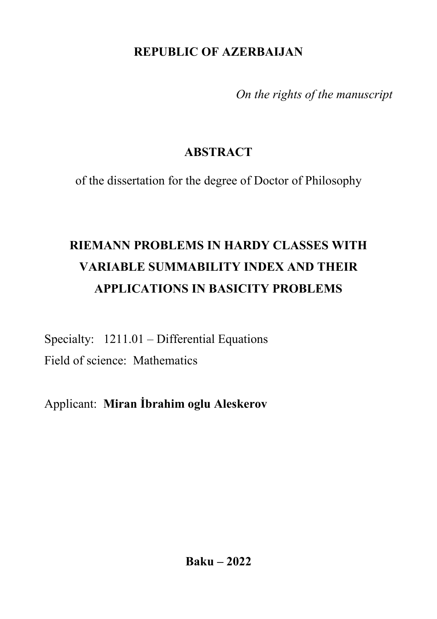## **REPUBLIC OF AZERBAIJAN**

*On the rights of the manuscript*

# **ABSTRACT**

of the dissertation for the degree of Doctor of Philosophy

# **RIEMANN PROBLEMS IN HARDY CLASSES WITH VARIABLE SUMMABILITY INDEX AND THEIR APPLICATIONS IN BASICITY PROBLEMS**

Specialty: 1211.01 – Differential Equations Field of science: Mathematics

Applicant: **Miran İbrahim oglu Aleskerov**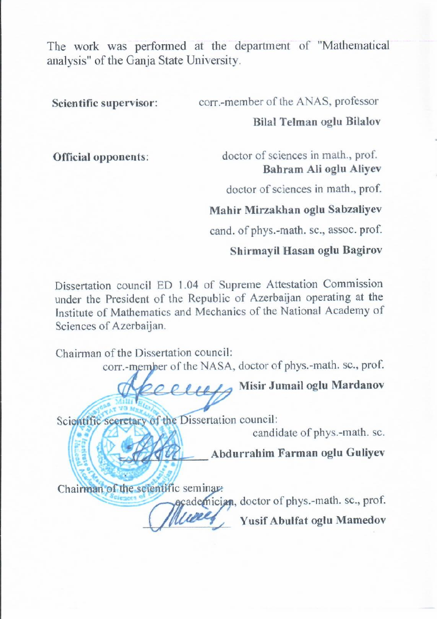The work was performed at the department of "Mathematical analysis" of the Ganja State University.

**Scientific supervisor:** corr.-member of the ANAS, professor

#### **Bilal Telman oglu Bilalov**

**Official opponents**: doctor of sciences in math., prof. **Bahram Ali oglu Aliyev**

doctor of sciences in math., prof.

**Mahir Mirzakhan oglu Sabzaliyev**

cand. of phys.-math. sc., assoc. prof.

#### **Shirmayil Hasan oglu Bagirov**

Dissertation council ED 1.04 of Supreme Attestation Commission under the President of the Republic of Azerbaijan operating at the Institute of Mathematics and Mechanics of the National Academy of Sciences of Azerbaijan.

Chairman of the Dissertation council:<br>corr.-member of the NASA, doctor of phys.-math. sc., prof.  $\overline{M}$ 

 $\frac{1}{2}$ 

\_\_\_\_\_\_\_\_\_\_\_\_\_\_\_ **Misir Jumail oglu Mardanov**

Scientific secretary of the Dissertation council:

candidate of phys.-math. sc.

Abdurrahim Farman oglu Guliyev

Chairman of the scientific seminar.

academician, doctor of phys.-math. sc., prof. Yusif Abulfat oglu Mamedov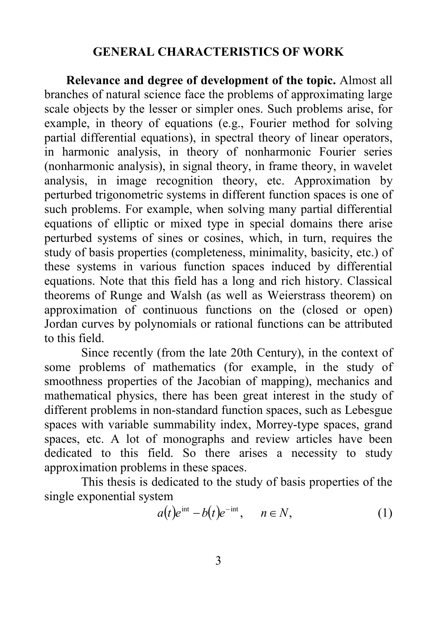#### **GENERAL CHARACTERISTICS OF WORK**

 **Relevance and degree of development of the topic.** Almost all branches of natural science face the problems of approximating large scale objects by the lesser or simpler ones. Such problems arise, for example, in theory of equations (e.g., Fourier method for solving partial differential equations), in spectral theory of linear operators, in harmonic analysis, in theory of nonharmonic Fourier series (nonharmonic analysis), in signal theory, in frame theory, in wavelet analysis, in image recognition theory, etc. Approximation by perturbed trigonometric systems in different function spaces is one of such problems. For example, when solving many partial differential equations of elliptic or mixed type in special domains there arise perturbed systems of sines or cosines, which, in turn, requires the study of basis properties (completeness, minimality, basicity, etc.) of these systems in various function spaces induced by differential equations. Note that this field has a long and rich history. Classical theorems of Runge and Walsh (as well as Weierstrass theorem) on approximation of continuous functions on the (closed or open) Jordan curves by polynomials or rational functions can be attributed to this field.

Since recently (from the late 20th Century), in the context of some problems of mathematics (for example, in the study of smoothness properties of the Jacobian of mapping), mechanics and mathematical physics, there has been great interest in the study of different problems in non-standard function spaces, such as Lebesgue spaces with variable summability index, Morrey-type spaces, grand spaces, etc. A lot of monographs and review articles have been dedicated to this field. So there arises a necessity to study approximation problems in these spaces.

This thesis is dedicated to the study of basis properties of the single exponential system

$$
a(t)e^{\text{int}} - b(t)e^{-\text{int}}, \quad n \in N,
$$
 (1)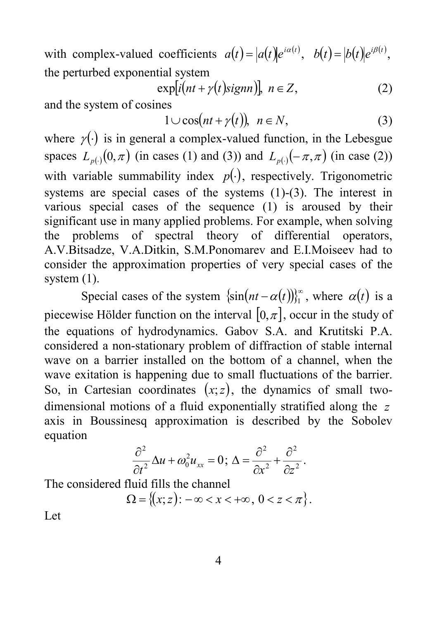with complex-valued coefficients  $a(t) = |a(t)|e^{i\alpha(t)}$ ,  $b(t) = |b(t)|e^{i\beta(t)}$ , the perturbed exponential system

$$
\exp[i(nt + \gamma(t)\text{sigma}]), n \in Z,
$$
 (2)

and the system of cosines

$$
1 \cup \cos(nt + \gamma(t)), \ \ n \in N,
$$
 (3)

where  $\gamma(.)$  is in general a complex-valued function, in the Lebesgue spaces  $L_{p(.)}(0,\pi)$  *(in cases (1) and (3)) and*  $L_{p(.)}(-\pi,\pi)$  *(in case (2))* with variable summability index  $p(.)$ , respectively. Trigonometric systems are special cases of the systems (1)-(3). The interest in various special cases of the sequence (1) is aroused by their significant use in many applied problems. For example, when solving the problems of spectral theory of differential operators, A.V.Bitsadze, V.A.Ditkin, S.M.Ponomarev and E.I.Moiseev had to consider the approximation properties of very special cases of the system  $(1)$ .

Special cases of the system  $\{\sin(nt - \alpha(t))\}_{t=1}^{\infty}$ , where  $\alpha(t)$  is a piecewise Hölder function on the interval  $[0, \pi]$ , occur in the study of the equations of hydrodynamics. Gabov S.A. and Krutitski P.A. considered a non-stationary problem of diffraction of stable internal wave on a barrier installed on the bottom of a channel, when the wave exitation is happening due to small fluctuations of the barrier. So, in Cartesian coordinates  $(x, z)$ , the dynamics of small twodimensional motions of a fluid exponentially stratified along the *z* axis in Boussinesq approximation is described by the Sobolev equation

$$
\frac{\partial^2}{\partial t^2} \Delta u + \omega_0^2 u_{xx} = 0; \ \Delta = \frac{\partial^2}{\partial x^2} + \frac{\partial^2}{\partial z^2}.
$$

The considered fluid fills the channel

$$
\Omega = \{(x; z): -\infty < x < +\infty \,, \, 0 < z < \pi\}.
$$

Let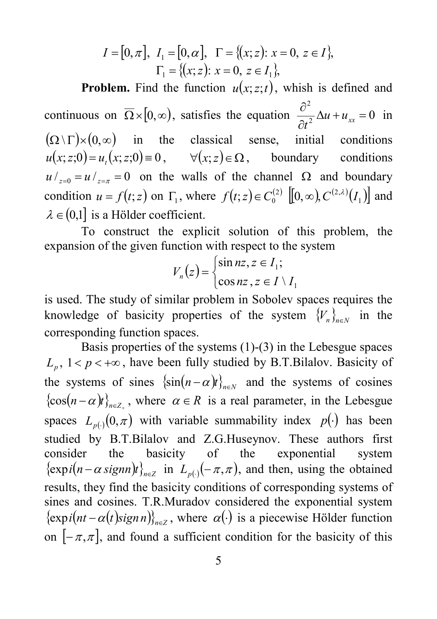$$
I = [0, \pi], I_1 = [0, \alpha], \Gamma = \{(x; z): x = 0, z \in I\},
$$
  

$$
\Gamma_1 = \{(x; z): x = 0, z \in I_1\},
$$

**Problem.** Find the function  $u(x; z; t)$ , whish is defined and continuous on  $\Omega \times [0, \infty)$ , satisfies the equation  $\frac{\partial}{\partial t^2} \Delta u + u_{xx} = 0$ 2  $\frac{\partial^2}{\partial t^2} \Delta u + u_{xx} =$  $\frac{u}{t^2} \Delta u + u_{xx} = 0$  in  $(\Omega \setminus \Gamma) \times (0, \infty)$  in the classical sense, initial conditions  $u(x; z;0) = u_r(x; z;0) = 0$ ,  $\forall (x; z) \in \Omega$ , boundary conditions  $u/_{z=0} = u/_{z=\pi} = 0$  on the walls of the channel  $\Omega$  and boundary condition  $u = f(t; z)$  on  $\Gamma_1$ , where  $f(t; z) \in C_0^{(2)}$  [[0, $\infty$ ),  $C^{(2, \lambda)}(I_1)$ ] and  $\lambda \in (0,1]$  is a Hölder coefficient.

To construct the explicit solution of this problem, the expansion of the given function with respect to the system

$$
V_n(z) = \begin{cases} \sin nz, z \in I_1; \\ \cos nz, z \in I \setminus I_1 \end{cases}
$$

is used. The study of similar problem in Sobolev spaces requires the knowledge of basicity properties of the system  ${V_{n}}_{n\in\mathbb{N}}$  in the corresponding function spaces.

Basis properties of the systems (1)-(3) in the Lebesgue spaces  $L_p$ ,  $1 < p < +\infty$ , have been fully studied by B.T.Bilalov. Basicity of the systems of sines  $\{\sin(n-\alpha)t\}_{n\in\mathbb{N}}$  and the systems of cosines  ${cos(n - \alpha)}_{n \in \mathbb{Z}}$ , where  $\alpha \in R$  is a real parameter, in the Lebesgue spaces  $L_{p(·)}(0,\pi)$  with variable summability index  $p(·)$  has been studied by B.T.Bilalov and Z.G.Huseynov. These authors first consider the basicity of the exponential system  $\{\exp i(n - \alpha \operatorname{sign} n)t\}_{n \in \mathbb{Z}}$  in  $L_{p(\cdot)}(-\pi, \pi)$ , and then, using the obtained results, they find the basicity conditions of corresponding systems of sines and cosines. T.R.Muradov considered the exponential system  $\{\exp i(nt - \alpha(t)\sigma) \}_{n \in \mathbb{Z}}$ , where  $\alpha(\cdot)$  is a piecewise Hölder function on  $[-\pi,\pi]$ , and found a sufficient condition for the basicity of this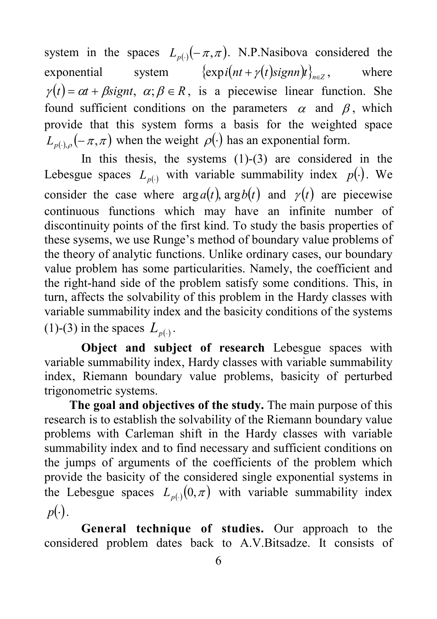system in the spaces  $L_{p(.)}(-\pi,\pi)$ . N.P.Nasibova considered the exponential system  $\{ \exp i(nt + \gamma(t) \text{sigma} t \}_{n \in \mathbb{Z}}$ , where  $\gamma(t) = \alpha t + \beta \text{signt}, \ \alpha; \beta \in R$ , is a piecewise linear function. She found sufficient conditions on the parameters  $\alpha$  and  $\beta$ , which provide that this system forms a basis for the weighted space  $L_{p(\cdot),\rho}(-\pi,\pi)$  when the weight  $\rho(\cdot)$  has an exponential form.

In this thesis, the systems  $(1)-(3)$  are considered in the Lebesgue spaces  $L_{p(r)}$  with variable summability index  $p(r)$ . We consider the case where  $\arg a(t)$ ,  $\arg b(t)$  and  $\gamma(t)$  are piecewise continuous functions which may have an infinite number of discontinuity points of the first kind. To study the basis properties of these sysems, we use Runge's method of boundary value problems of the theory of analytic functions. Unlike ordinary cases, our boundary value problem has some particularities. Namely, the coefficient and the right-hand side of the problem satisfy some conditions. This, in turn, affects the solvability of this problem in the Hardy classes with variable summability index and the basicity conditions of the systems (1)-(3) in the spaces  $L_{p(\cdot)}$ .

**Object and subject of research** Lebesgue spaces with variable summability index, Hardy classes with variable summability index, Riemann boundary value problems, basicity of perturbed trigonometric systems.

 **The goal and objectives of the study.** The main purpose of this research is to establish the solvability of the Riemann boundary value problems with Carleman shift in the Hardy classes with variable summability index and to find necessary and sufficient conditions on the jumps of arguments of the coefficients of the problem which provide the basicity of the considered single exponential systems in the Lebesgue spaces  $L_{p(\cdot)}(0,\pi)$  with variable summability index  $p(.)$ .

**General technique of studies.** Our approach to the considered problem dates back to A.V.Bitsadze. It consists of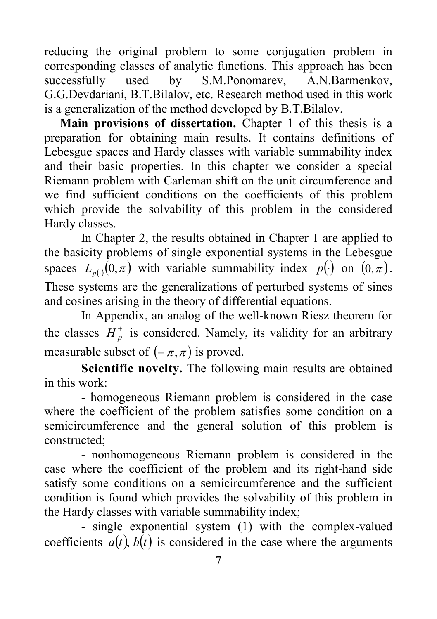reducing the original problem to some conjugation problem in corresponding classes of analytic functions. This approach has been<br>successfully used by S.M.Ponomarev, A.N.Barmenkov, successfully used by S.M.Ponomarev, A.N.Barmenkov, G.G.Devdariani, B.T.Bilalov, etc. Research method used in this work is a generalization of the method developed by B.T.Bilalov.

 **Main provisions of dissertation.** Chapter 1 of this thesis is a preparation for obtaining main results. It contains definitions of Lebesgue spaces and Hardy classes with variable summability index and their basic properties. In this chapter we consider a special Riemann problem with Carleman shift on the unit circumference and we find sufficient conditions on the coefficients of this problem which provide the solvability of this problem in the considered Hardy classes.

In Chapter 2, the results obtained in Chapter 1 are applied to the basicity problems of single exponential systems in the Lebesgue spaces  $L_{p(0)}(0,\pi)$  with variable summability index  $p(\cdot)$  on  $(0,\pi)$ . These systems are the generalizations of perturbed systems of sines and cosines arising in the theory of differential equations.

In Appendix, an analog of the well-known Riesz theorem for the classes  $H_n^+$  is considered. Namely, its validity for an arbitrary measurable subset of  $(-\pi, \pi)$  is proved.

**Scientific novelty.** The following main results are obtained in this work:

- homogeneous Riemann problem is considered in the case where the coefficient of the problem satisfies some condition on a semicircumference and the general solution of this problem is constructed;

- nonhomogeneous Riemann problem is considered in the case where the coefficient of the problem and its right-hand side satisfy some conditions on a semicircumference and the sufficient condition is found which provides the solvability of this problem in the Hardy classes with variable summability index;

- single exponential system (1) with the complex-valued coefficients  $a(t)$ ,  $b(t)$  is considered in the case where the arguments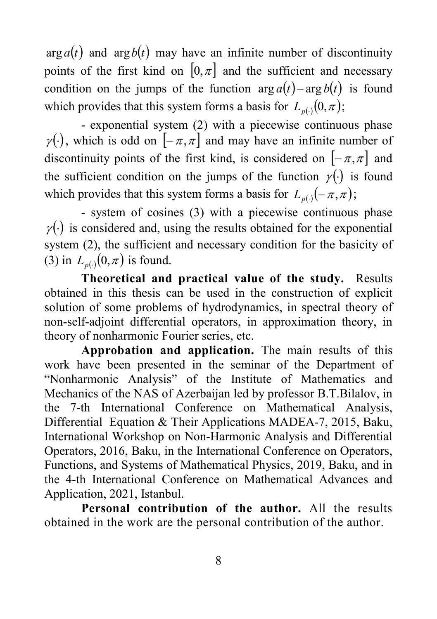$\arg a(t)$  and  $\arg b(t)$  may have an infinite number of discontinuity points of the first kind on  $[0, \pi]$  and the sufficient and necessary condition on the jumps of the function  $\arg a(t) - \arg b(t)$  is found which provides that this system forms a basis for  $L_{p(·)}(0, \pi)$ ;

- exponential system (2) with a piecewise continuous phase  $\gamma(\cdot)$ , which is odd on  $[-\pi,\pi]$  and may have an infinite number of discontinuity points of the first kind, is considered on  $[-\pi, \pi]$  and the sufficient condition on the jumps of the function  $\gamma(\cdot)$  is found which provides that this system forms a basis for  $L_{p(·)}(-\pi, \pi)$ ;

- system of cosines (3) with a piecewise continuous phase  $\gamma$ (.) is considered and, using the results obtained for the exponential system (2), the sufficient and necessary condition for the basicity of (3) in  $L_{p(.)}(0, \pi)$  is found.

**Theoretical and practical value of the study.** Results obtained in this thesis can be used in the construction of explicit solution of some problems of hydrodynamics, in spectral theory of non-self-adjoint differential operators, in approximation theory, in theory of nonharmonic Fourier series, etc.

**Approbation and application.** The main results of this work have been presented in the seminar of the Department of "Nonharmonic Analysis" of the Institute of Mathematics and Mechanics of the NAS of Azerbaijan led by professor B.T.Bilalov, in the 7-th International Conference on Mathematical Analysis, Differential Equation & Their Applications MADEA-7, 2015, Baku, International Workshop on Non-Harmonic Analysis and Differential Operators, 2016, Baku, in the International Conference on Operators, Functions, and Systems of Mathematical Physics, 2019, Baku, and in the 4-th International Conference on Mathematical Advances and Application, 2021, Istanbul.

**Personal contribution of the author.** All the results obtained in the work are the personal contribution of the author.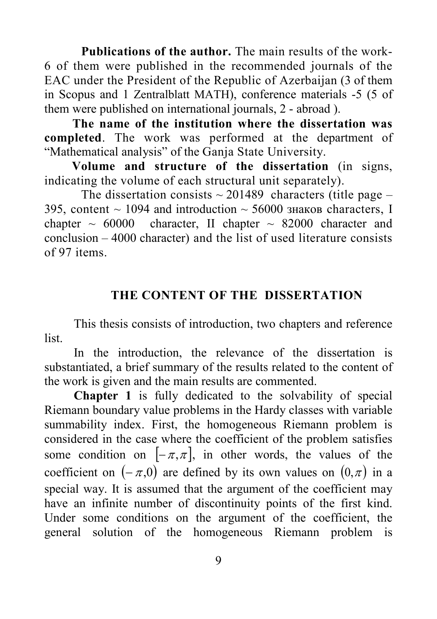**Publications of the author.** The main results of the work-6 of them were published in the recommended journals of the EAC under the President of the Republic of Azerbaijan (3 of them in Scopus and 1 [Zentralblatt MATH\)](https://zbmath.org/), conference materials -5 (5 of them were published on international journals, 2 - abroad ).

 **The name of the institution where the dissertation was completed**. The work was performed at the department of "Mathematical analysis" of the Ganja State University.

 **Volume and structure of the dissertation** (in signs, indicating the volume of each structural unit separately).

The dissertation consists  $\sim$  201489 characters (title page – 395, content  $\sim$  1094 and introduction  $\sim$  56000 знаков characters, I chapter  $\sim 60000$  character, II chapter  $\sim 82000$  character and conclusion – 4000 character) and the list of used literature consists of 97 items.

## **THE CONTENT OF THE DISSERTATION**

This thesis consists of introduction, two chapters and reference list.

In the introduction, the relevance of the dissertation is substantiated, a brief summary of the results related to the content of the work is given and the main results are commented.

**Chapter 1** is fully dedicated to the solvability of special Riemann boundary value problems in the Hardy classes with variable summability index. First, the homogeneous Riemann problem is considered in the case where the coefficient of the problem satisfies some condition on  $[-\pi,\pi]$ , in other words, the values of the coefficient on  $(-\pi,0)$  are defined by its own values on  $(0,\pi)$  in a special way. It is assumed that the argument of the coefficient may have an infinite number of discontinuity points of the first kind. Under some conditions on the argument of the coefficient, the general solution of the homogeneous Riemann problem is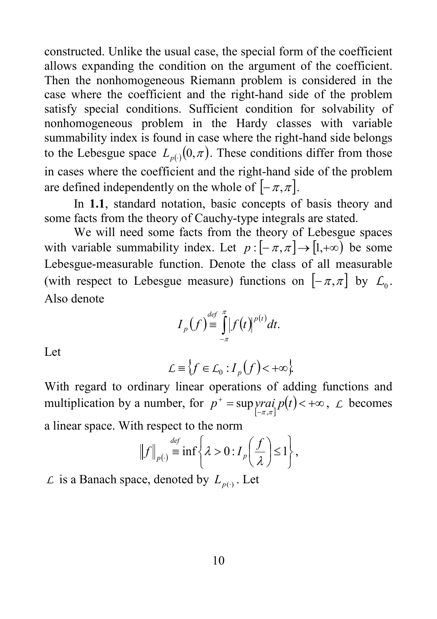constructed. Unlike the usual case, the special form of the coefficient allows expanding the condition on the argument of the coefficient. Then the nonhomogeneous Riemann problem is considered in the case where the coefficient and the right-hand side of the problem satisfy special conditions. Sufficient condition for solvability of nonhomogeneous problem in the Hardy classes with variable summability index is found in case where the right-hand side belongs to the Lebesgue space  $L_{p(.)}(0,\pi)$ . These conditions differ from those in cases where the coefficient and the right-hand side of the problem are defined independently on the whole of  $[-\pi, \pi]$ .

In **1.1**, standard notation, basic concepts of basis theory and some facts from the theory of Cauchy-type integrals are stated.

We will need some facts from the theory of Lebesgue spaces with variable summability index. Let  $p: [-\pi, \pi] \rightarrow [1, +\infty)$  be some Lebesgue-measurable function. Denote the class of all measurable (with respect to Lebesgue measure) functions on  $[-\pi,\pi]$  by  $\mathcal{L}_0$ . Also denote

$$
I_p(f) \stackrel{\scriptscriptstyle def}{=} \int\limits_{-\pi}^{\pi} |f(t)|^{p(t)} dt.
$$

Let

$$
\mathcal{L} \equiv \Big\{ f \in \mathcal{L}_0 : I_p(f) < +\infty \Big\}
$$

With regard to ordinary linear operations of adding functions and multiplication by a number, for  $p^+ = \sup \text{y} \text{y} \text{z} \text{z} \text{z} \text{z} + \infty$ ,  $\text{z}$  becomes a linear space. With respect to the norm

$$
\|f\|_{p(\cdot)} \stackrel{\text{def}}{=} \inf \left\{ \lambda > 0 : I_p\left(\frac{f}{\lambda}\right) \le 1 \right\},\
$$

*L* is a Banach space, denoted by  $L_{p(⋅)}$ . Let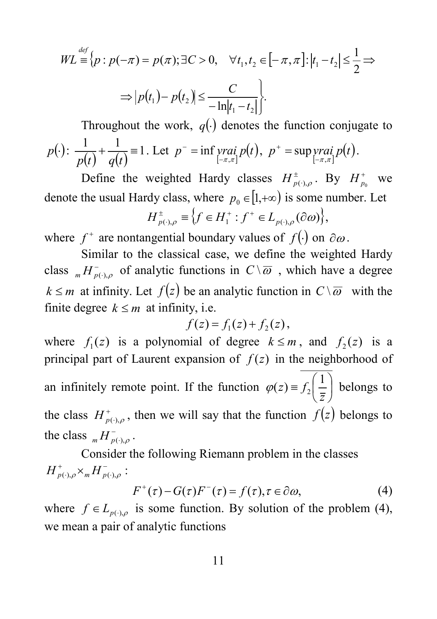$$
WL \stackrel{\text{def}}{=} \{p : p(-\pi) = p(\pi); \exists C > 0, \quad \forall t_1, t_2 \in [-\pi, \pi] : |t_1 - t_2| \le \frac{1}{2} \implies
$$

$$
\Rightarrow |p(t_1) - p(t_2)| \le \frac{C}{-\ln|t_1 - t_2|} \}.
$$

Throughout the work,  $q(.)$  denotes the function conjugate to *<sup>p</sup>*(⋅): ( ) ( ) <sup>1</sup> <sup>1</sup> <sup>1</sup> <sup>+</sup> <sup>≡</sup> *<sup>p</sup> <sup>t</sup> <sup>q</sup> <sup>t</sup>* . Let [ ] *<sup>p</sup> vrai <sup>p</sup>*(*t*) <sup>π</sup> ,<sup>π</sup> inf <sup>−</sup> <sup>−</sup> <sup>=</sup> , [ ] *<sup>p</sup> vrai <sup>p</sup>*(*t*) <sup>π</sup> ,<sup>π</sup> sup <sup>−</sup> <sup>+</sup> = .

Define the weighted Hardy classes  $H^{\pm}_{p(\cdot),\rho}$ . By  $H^{\pm}_{p_0}$  we denote the usual Hardy class, where  $p_0 \in [1, +\infty)$  is some number. Let  $H^{\pm}_{p(\cdot),\rho} \equiv \left\{ f \in H_1^{\pm} : f^{\pm} \in L_{p(\cdot),\rho}(\partial \omega) \right\},$ 

where  $f^+$  are nontangential boundary values of  $f(.)$  on  $\partial \omega$ .

Similar to the classical case, we define the weighted Hardy class  $_{m}H_{p(\cdot),\rho}^{-}$  of analytic functions in  $C\setminus\overline{\omega}$ , which have a degree *k* ≤ *m* at infinity. Let  $f(z)$  be an analytic function in  $C\setminus\overline{ω}$  with the finite degree  $k \leq m$  at infinity, i.e.

$$
f(z) = f1(z) + f2(z),
$$

where  $f_1(z)$  is a polynomial of degree  $k \le m$ , and  $f_2(z)$  is a principal part of Laurent expansion of  $f(z)$  in the neighborhood of an infinitely remote point. If the function  $\varphi(z) \equiv f_2 \vert \frac{1}{z} \vert$ J  $\left(\frac{1}{2}\right)$  $\varphi(z) \equiv f_2\left(\frac{1}{\overline{z}}\right)$  belongs to the class  $H_{p(\cdot),\rho}^+$ , then we will say that the function  $f(z)$  belongs to the class  $_H H_{p(\cdot), \rho}^{\dagger}$ .

Consider the following Riemann problem in the classes  $\sum_{(\cdot),\rho}\times_m H_{p(\cdot),\rho}^-$ :  $H^+_{p(\cdot),\rho} \times_m H^-_{p(\cdot),\rho}$ 

$$
F^{+}(\tau) - G(\tau)F^{-}(\tau) = f(\tau), \tau \in \partial \omega,
$$
\n(4)

where  $f \in L_{p(\cdot),\rho}$  is some function. By solution of the problem (4), we mean a pair of analytic functions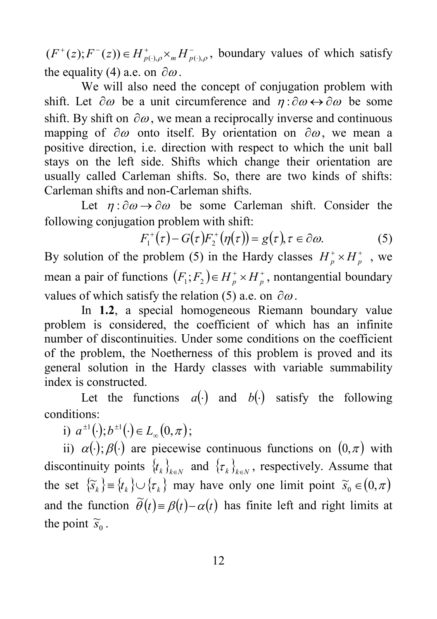− ⋅ +  $(F^+(z); F^-(z)) \in H^+_{p(\cdot), \rho} \times_m H^-_{p(\cdot), \rho}$ , boundary values of which satisfy the equality (4) a.e. on  $\partial \omega$ .

We will also need the concept of conjugation problem with shift. Let  $\partial \omega$  be a unit circumference and  $\eta : \partial \omega \leftrightarrow \partial \omega$  be some shift. By shift on  $\partial \omega$ , we mean a reciprocally inverse and continuous mapping of  $\partial \omega$  onto itself. By orientation on  $\partial \omega$ , we mean a positive direction, i.e. direction with respect to which the unit ball stays on the left side. Shifts which change their orientation are usually called Carleman shifts. So, there are two kinds of shifts: Carleman shifts and non-Carleman shifts.

Let  $\eta$ :  $\partial \omega \rightarrow \partial \omega$  be some Carleman shift. Consider the following conjugation problem with shift:

$$
F_1^+(\tau) - G(\tau)F_2^+(\eta(\tau)) = g(\tau), \tau \in \partial \omega.
$$
 (5)

By solution of the problem (5) in the Hardy classes  $H_p^* \times H_p^*$ , we mean a pair of functions  $(F_1; F_2) \in H_p^+ \times H_p^+$ , nontangential boundary values of which satisfy the relation (5) a.e. on  $\partial \omega$ .

In **1.2**, a special homogeneous Riemann boundary value problem is considered, the coefficient of which has an infinite number of discontinuities. Under some conditions on the coefficient of the problem, the Noetherness of this problem is proved and its general solution in the Hardy classes with variable summability index is constructed.

Let the functions  $a(·)$  and  $b(·)$  satisfy the following conditions:

i)  $a^{\pm 1}(\cdot); b^{\pm 1}(\cdot) \in L_{\infty}(0, \pi);$ 

ii)  $\alpha(\cdot)$ ;  $\beta(\cdot)$  are piecewise continuous functions on  $(0, \pi)$  with discontinuity points  $\{t_k\}_{k\in\mathbb{N}}$  and  $\{\tau_k\}_{k\in\mathbb{N}}$ , respectively. Assume that the set  ${\widetilde{s}_k} \equiv {t_k} \cup {\tau_k}$  may have only one limit point  ${\widetilde{s}_0} \in (0,\pi)$ and the function  $\tilde{\theta}(t) = \beta(t) - \alpha(t)$  has finite left and right limits at the point  $\widetilde{s}_0$ .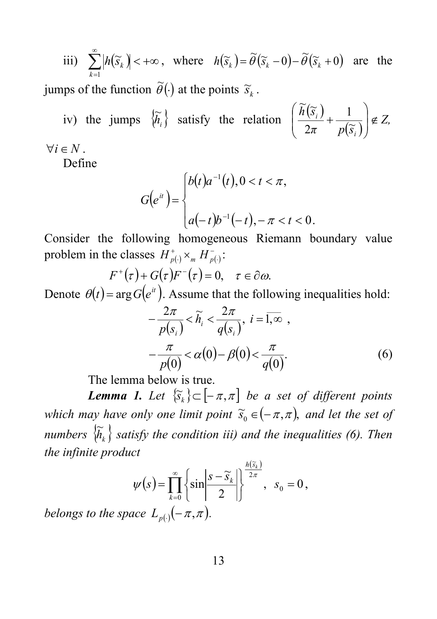iii) 
$$
\sum_{k=1}^{\infty} |h(\widetilde{s}_k)| < +\infty, \text{ where } h(\widetilde{s}_k) = \widetilde{\theta}(\widetilde{s}_k - 0) - \widetilde{\theta}(\widetilde{s}_k + 0) \text{ are the}
$$

jumps of the function  $\widetilde{\theta}(\cdot)$  at the points  $\widetilde{s}_k$ .

iv) the jumps  $\left\{\widetilde{h}_i\right\}$  satisfy the relation  $\left(\frac{h(\widetilde{S}_i)}{2\pi} + \frac{1}{p(\widetilde{S}_i)}\right) \notin Z$ , *h s*  $\left(\frac{i}{r} + \frac{1}{p(\widetilde{s}_i)}\right) \notin$ J  $\left( \right)$  $\overline{\phantom{a}}$  $\setminus$ ſ  $+\frac{1}{n(\widetilde{s})}$ 2  $\widetilde{h}$  ( $\widetilde{s}$  $\forall i \in N$ .

Define

$$
G(e^{it}) = \begin{cases} b(t)a^{-1}(t), 0 < t < \pi, \\ a(-t)b^{-1}(-t), -\pi < t < 0. \end{cases}
$$

Consider the following homogeneous Riemann boundary value problem in the classes  $H_{p(\cdot)}^+ \times_m H_{p(\cdot)}^-$ :

$$
F^{+}(\tau)+G(\tau)F^{-}(\tau)=0, \quad \tau \in \partial \omega.
$$

Denote  $\theta(t) = \arg G(e^{it})$ . Assume that the following inequalities hold:

$$
-\frac{2\pi}{p(s_i)} < \widetilde{h}_i < \frac{2\pi}{q(s_i)}, \ i = \overline{1, \infty} ,
$$
  

$$
-\frac{\pi}{p(0)} < \alpha(0) - \beta(0) < \frac{\pi}{q(0)}.
$$
 (6)

The lemma below is true.

*Lemma 1. Let*  $\{\widetilde{s}_k\} \subset [-\pi, \pi]$  *be a set of different points which may have only one limit point*  $\widetilde{s}_0 \in (-\pi, \pi)$ *, and let the set of numbers*  $\{\widetilde{h}_k\}$  *satisfy the condition iii) and the inequalities (6). Then the infinite product*

$$
\psi(s) = \prod_{k=0}^{\infty} \left\{ \sin \left| \frac{s - \widetilde{s}_k}{2} \right| \right\}^{\frac{h(\widetilde{s}_k)}{2\pi}}, \ \ s_0 = 0,
$$

*belongs to the space*  $L_{p(.)}(-\pi, \pi)$ *.*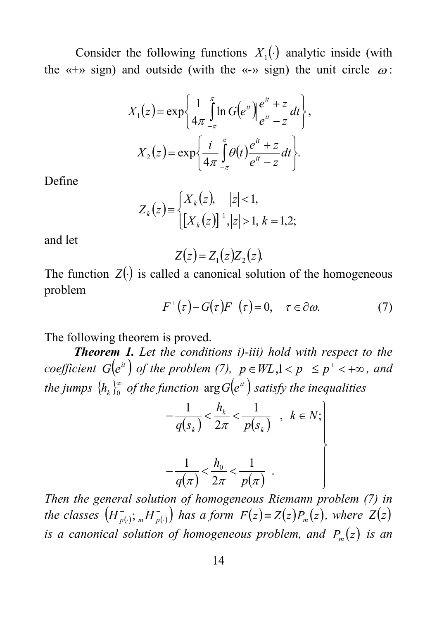Consider the following functions  $X_1(\cdot)$  analytic inside (with the «+» sign) and outside (with the «-» sign) the unit circle  $\omega$ :

$$
X_1(z) = \exp\left\{\frac{1}{4\pi} \int_{-\pi}^{\pi} \ln |G(e^{it})| \frac{e^{it} + z}{e^{it} - z} dt \right\},
$$

$$
X_2(z) = \exp\left\{\frac{i}{4\pi} \int_{-\pi}^{\pi} \theta(t) \frac{e^{it} + z}{e^{it} - z} dt \right\}.
$$

Define

$$
Z_k(z) = \begin{cases} X_k(z), & |z| < 1, \\ \left[ X_k(z) \right]^{-1}, & |z| > 1, \ k = 1, 2; \end{cases}
$$

and let

$$
Z(z) = Z_1(z)Z_2(z).
$$

The function  $Z(\cdot)$  is called a canonical solution of the homogeneous problem

$$
F^+(\tau) - G(\tau)F^-(\tau) = 0, \quad \tau \in \partial \omega.
$$
 (7)

The following theorem is proved.

*Theorem 1. Let the conditions i)-iii) hold with respect to the coefficient*  $G(e^{it})$  *of the problem* (7),  $p \in WL, 1 < p^{-} \le p^{+} < +\infty$ , and *the jumps*  $\{h_{k}\}_{0}^{\infty}$  *of the function*  $\arg G\left(e^{it}\right)$  *satisfy the inequalities* 

$$
-\frac{1}{q(s_k)} < \frac{h_k}{2\pi} < \frac{1}{p(s_k)}, \quad k \in N;
$$
\n
$$
-\frac{1}{q(\pi)} < \frac{h_0}{2\pi} < \frac{1}{p(\pi)}.
$$

*Then the general solution of homogeneous Riemann problem (7) in*   $i$  *the classes*  $(H_{p(\cdot)}^+; {}_m H_{p(\cdot)}^-)$  has a form  $F(z) \equiv Z(z)P_m(z)$ , where  $Z(z)$ *is a canonical solution of homogeneous problem, and*  $P_m(z)$  *is an*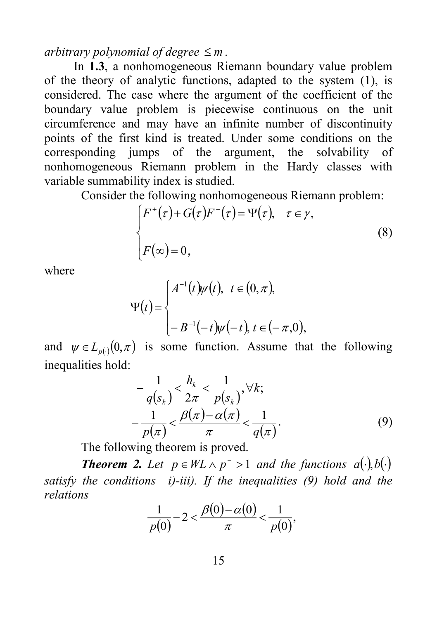#### *arbitrary polynomial of degree*  $\leq m$ .

In **1.3**, a nonhomogeneous Riemann boundary value problem of the theory of analytic functions, adapted to the system (1), is considered. The case where the argument of the coefficient of the boundary value problem is piecewise continuous on the unit circumference and may have an infinite number of discontinuity points of the first kind is treated. Under some conditions on the corresponding jumps of the argument, the solvability of nonhomogeneous Riemann problem in the Hardy classes with variable summability index is studied.

Consider the following nonhomogeneous Riemann problem:

$$
\begin{cases} F^+(\tau) + G(\tau)F^-(\tau) = \Psi(\tau), & \tau \in \gamma, \\ F(\infty) = 0, \end{cases}
$$
 (8)

where

$$
\Psi(t) = \begin{cases} A^{-1}(t)\psi(t), & t \in (0, \pi), \\ \\ -B^{-1}(-t)\psi(-t), & t \in (-\pi, 0), \end{cases}
$$

and  $\psi \in L_{p(x)}(0,\pi)$  is some function. Assume that the following inequalities hold:

$$
-\frac{1}{q(s_k)} < \frac{h_k}{2\pi} < \frac{1}{p(s_k)}, \forall k;
$$
  

$$
-\frac{1}{p(\pi)} < \frac{\beta(\pi) - \alpha(\pi)}{\pi} < \frac{1}{q(\pi)}.
$$
 (9)

The following theorem is proved.

*Theorem* 2. Let  $p \in WL \land p^{-} > 1$  and the functions  $a(\cdot), b(\cdot)$ *satisfy the conditions i)-iii). If the inequalities (9) hold and the relations*

$$
\frac{1}{p(0)}-2 < \frac{\beta(0)-\alpha(0)}{\pi} < \frac{1}{p(0)},
$$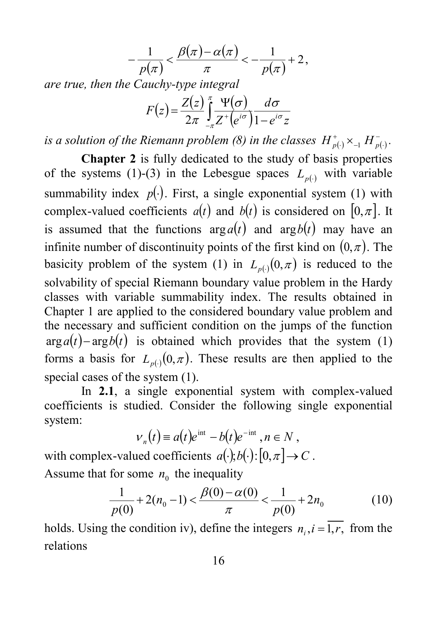$$
-\frac{1}{p(\pi)} < \frac{\beta(\pi) - \alpha(\pi)}{\pi} < -\frac{1}{p(\pi)} + 2,
$$

*are true, then the Cauchy-type integral*

$$
F(z) = \frac{Z(z)}{2\pi} \int_{-\pi}^{\pi} \frac{\Psi(\sigma)}{Z^+(e^{i\sigma})} \frac{d\sigma}{1 - e^{i\sigma} z}
$$

*is a solution of the Riemann problem* (8) in the classes  $H_{p(\cdot)}^{\text{+}} \times_{-1} H_{p(\cdot)}^{-}$ .

**Chapter 2** is fully dedicated to the study of basis properties of the systems (1)-(3) in the Lebesgue spaces  $L_{p(·)}$  with variable summability index  $p(.)$ . First, a single exponential system (1) with complex-valued coefficients  $a(t)$  and  $b(t)$  is considered on  $[0, \pi]$ . It is assumed that the functions  $arg a(t)$  and  $arg b(t)$  may have an infinite number of discontinuity points of the first kind on  $(0, \pi)$ . The basicity problem of the system (1) in  $L_{p(.)}(0,\pi)$  is reduced to the solvability of special Riemann boundary value problem in the Hardy classes with variable summability index. The results obtained in Chapter 1 are applied to the considered boundary value problem and the necessary and sufficient condition on the jumps of the function  $arg a(t)$ − $arg b(t)$  is obtained which provides that the system (1) forms a basis for  $L_{p(·)}(0, \pi)$ . These results are then applied to the special cases of the system (1).

In **2.1**, a single exponential system with complex-valued coefficients is studied. Consider the following single exponential system:

$$
V_n(t) \equiv a(t)e^{int} - b(t)e^{-int}, n \in N,
$$

with complex-valued coefficients  $a(\cdot)$ ;*b*( $\cdot$ ):[0, $\pi$ ]  $\rightarrow$  *C*. Assume that for some  $n_0$  the inequality

$$
\frac{1}{p(0)} + 2(n_0 - 1) < \frac{\beta(0) - \alpha(0)}{\pi} < \frac{1}{p(0)} + 2n_0 \tag{10}
$$

holds. Using the condition iv), define the integers  $n_i$ ,  $i = \overline{1, r}$ , from the relations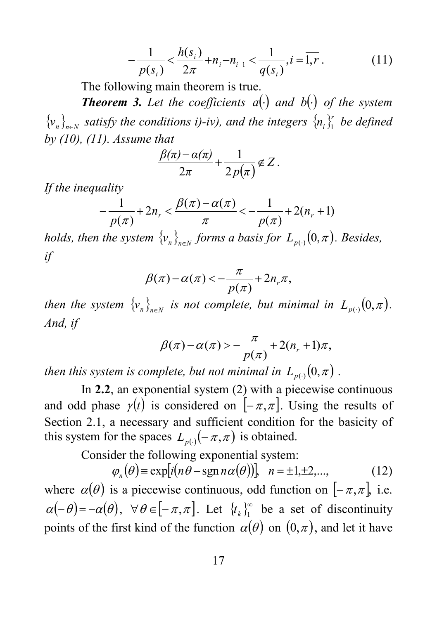$$
-\frac{1}{p(s_i)} < \frac{h(s_i)}{2\pi} + n_i - n_{i-1} < \frac{1}{q(s_i)}, i = \overline{1, r}.
$$
 (11)

The following main theorem is true.

*Theorem 3. Let the coefficients a*(⋅) *and b*(⋅) *of the system*  ${\left\{\nabla_{n}\right\}_{n\in\mathbb{N}}}$  satisfy the conditions *i*)-*iv*), and the integers  ${\left\{n_i\right\}_{1}^{r}}$  be defined *by (10), (11). Assume that* 

$$
\frac{\beta(\pi)-\alpha(\pi)}{2\pi}+\frac{1}{2p(\pi)}\notin Z.
$$

*If the inequality* 

$$
-\frac{1}{p(\pi)} + 2n_r < \frac{\beta(\pi) - \alpha(\pi)}{\pi} < -\frac{1}{p(\pi)} + 2(n_r + 1)
$$

*holds, then the system*  $\{v_n\}_{n\in\mathbb{N}}$  *forms a basis for*  $L_{p(\cdot)}(0,\pi)$ *. Besides, if*

$$
\beta(\pi)-\alpha(\pi) < -\frac{\pi}{p(\pi)}+2n_r\pi,
$$

*then the system*  $\{v_n\}_{n\in\mathbb{N}}$  *is not complete, but minimal in*  $L_{p(\cdot)}(0,\pi)$ *. And, if* 

$$
\beta(\pi)-\alpha(\pi) > -\frac{\pi}{p(\pi)}+2(n+1)\pi,
$$

*then this system is complete, but not minimal in*  $L_{p(\cdot)}(0,\pi)$ .

In **2.2**, an exponential system (2) with a piecewise continuous and odd phase  $\gamma(t)$  is considered on  $[-\pi,\pi]$ . Using the results of Section 2.1, a necessary and sufficient condition for the basicity of this system for the spaces  $L_{p(·)}(-\pi, \pi)$  is obtained.

Consider the following exponential system:

$$
\varphi_n(\theta) = \exp[i(n\theta - \operatorname{sgn} n\alpha(\theta))], \quad n = \pm 1, \pm 2, \dots,
$$
 (12)

where  $\alpha(\theta)$  is a piecewise continuous, odd function on  $[-\pi,\pi]$ , i.e.  $\alpha(-\theta) = -\alpha(\theta), \ \forall \theta \in [-\pi, \pi].$  Let  $\{t_k\}_{1}^{\infty}$  be a set of discontinuity points of the first kind of the function  $\alpha(\theta)$  on  $(0, \pi)$ , and let it have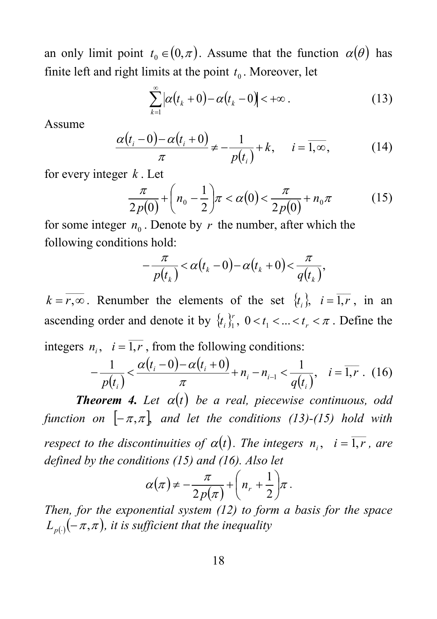an only limit point  $t_0 \in (0,\pi)$ . Assume that the function  $\alpha(\theta)$  has finite left and right limits at the point  $t<sub>0</sub>$ . Moreover, let

$$
\sum_{k=1}^{\infty} \left| \alpha(t_k + 0) - \alpha(t_k - 0) \right| < +\infty \, . \tag{13}
$$

Assume

$$
\frac{\alpha(t_i - 0) - \alpha(t_i + 0)}{\pi} \neq -\frac{1}{p(t_i)} + k, \quad i = \overline{1, \infty},
$$
 (14)

for every integer *k* . Let

$$
\frac{\pi}{2p(0)} + \left(n_0 - \frac{1}{2}\right)\pi < \alpha(0) < \frac{\pi}{2p(0)} + n_0\pi \tag{15}
$$

for some integer  $n_0$ . Denote by r the number, after which the following conditions hold:

$$
-\frac{\pi}{p(t_k)} < \alpha(t_k - 0) - \alpha(t_k + 0) < \frac{\pi}{q(t_k)},
$$

 $k = \overline{r, \infty}$ . Renumber the elements of the set  $\{t_i\}$ ,  $i = \overline{1, r}$ , in an ascending order and denote it by  $\{t_i\}_{i=1}^r$ ,  $0 < t_1 < ... < t_r < \pi$ . Define the integers  $n_i$ ,  $i = \overline{1,r}$ , from the following conditions:

$$
-\frac{1}{p(t_i)} < \frac{\alpha(t_i - 0) - \alpha(t_i + 0)}{\pi} + n_i - n_{i-1} < \frac{1}{q(t_i)}, \quad i = \overline{1, r} \quad (16)
$$

*Theorem* 4. Let  $\alpha(t)$  be a real, piecewise continuous, odd *function on*  $[-\pi,\pi]$  *and let the conditions* (13)-(15) *hold with respect to the discontinuities of*  $\alpha(t)$ *. The integers*  $n_i$ *, i* =  $\overline{1,r}$ *, are defined by the conditions (15) and (16). Also let*

$$
\alpha(\pi) \neq -\frac{\pi}{2p(\pi)} + \left(n_r + \frac{1}{2}\right)\pi.
$$

*Then, for the exponential system (12) to form a basis for the space*  $L_{p(\cdot)}(-\pi,\pi)$ , it is sufficient that the inequality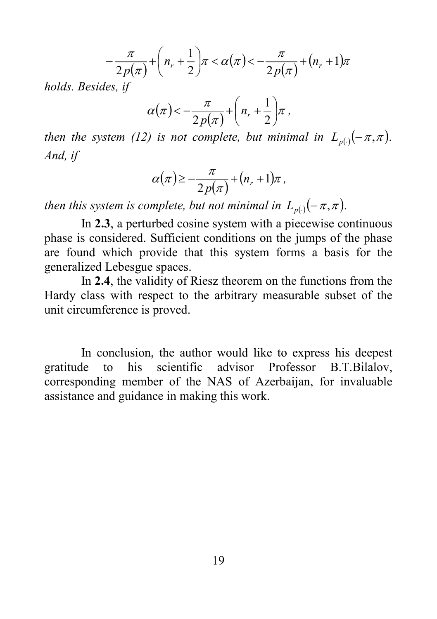$$
-\frac{\pi}{2p(\pi)}+\left(n_r+\frac{1}{2}\right)\pi<\alpha(\pi)<-\frac{\pi}{2p(\pi)}+(n_r+1)\pi
$$

*holds. Besides, if*

$$
\alpha(\pi) < -\frac{\pi}{2p(\pi)} + \left(n_r + \frac{1}{2}\right)\pi,
$$

*then the system* (12) *is not complete, but minimal in*  $L_{p(.)}(-\pi,\pi)$ *. And, if*

$$
\alpha(\pi) \geq -\frac{\pi}{2p(\pi)} + (n_r + 1)\pi,
$$

*then this system is complete, but not minimal in*  $L_{p}( -\pi,\pi)$ .

In **2.3**, a perturbed cosine system with a piecewise continuous phase is considered. Sufficient conditions on the jumps of the phase are found which provide that this system forms a basis for the generalized Lebesgue spaces.

In **2.4**, the validity of Riesz theorem on the functions from the Hardy class with respect to the arbitrary measurable subset of the unit circumference is proved.

In conclusion, the author would like to express his deepest gratitude to his scientific advisor Professor B.T.Bilalov, corresponding member of the NAS of Azerbaijan, for invaluable assistance and guidance in making this work.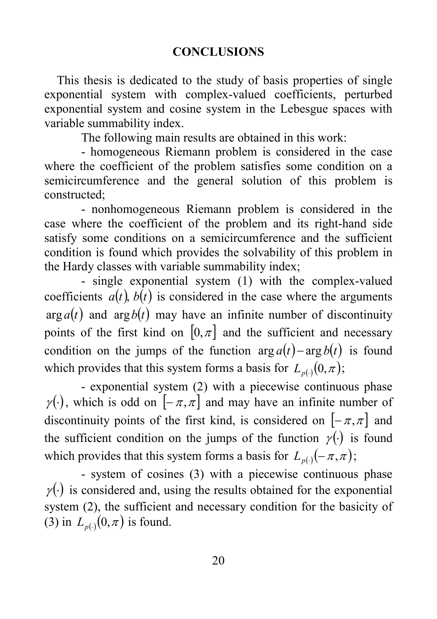#### **CONCLUSIONS**

 This thesis is dedicated to the study of basis properties of single exponential system with complex-valued coefficients, perturbed exponential system and cosine system in the Lebesgue spaces with variable summability index.

The following main results are obtained in this work:

- homogeneous Riemann problem is considered in the case where the coefficient of the problem satisfies some condition on a semicircumference and the general solution of this problem is constructed;

- nonhomogeneous Riemann problem is considered in the case where the coefficient of the problem and its right-hand side satisfy some conditions on a semicircumference and the sufficient condition is found which provides the solvability of this problem in the Hardy classes with variable summability index;

- single exponential system (1) with the complex-valued coefficients  $a(t)$ ,  $b(t)$  is considered in the case where the arguments  $\arg a(t)$  and  $\arg b(t)$  may have an infinite number of discontinuity points of the first kind on  $[0, \pi]$  and the sufficient and necessary condition on the jumps of the function  $\arg a(t) - \arg b(t)$  is found which provides that this system forms a basis for  $L_{p(.)}(0,\pi);$ 

- exponential system (2) with a piecewise continuous phase  $\gamma(\cdot)$ , which is odd on  $[-\pi,\pi]$  and may have an infinite number of discontinuity points of the first kind, is considered on  $[-\pi, \pi]$  and the sufficient condition on the jumps of the function  $\gamma(\cdot)$  is found which provides that this system forms a basis for  $L_{p(·)}(-\pi, \pi)$ ;

- system of cosines (3) with a piecewise continuous phase  $\gamma(\cdot)$  is considered and, using the results obtained for the exponential system (2), the sufficient and necessary condition for the basicity of (3) in  $L_{p(·)}(0, \pi)$  is found.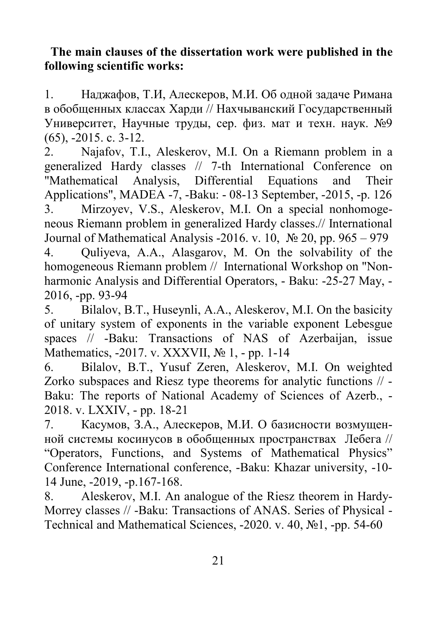### **The main clauses of the dissertation work were published in the following scientific works:**

1. Наджафов, Т.И, Алескеров, М.И. Об одной задаче Римана в обобщенных классах Харди // Нахчыванский Государственный Университет, Научные труды, сер. физ. мат и техн. наук. №9 (65), -2015. с. 3-12.

2. Najafov, T.I., Aleskerov, M.I. On a Riemann problem in a generalized Hardy classes // 7-th International Conference on "Mathematical Analysis, Differential Equations and Their Applications", MADEA -7, -Baku: - 08-13 September, -2015, -p. 126 3. Mirzoyev, V.S., Aleskerov, M.I. On a special nonhomogeneous Riemann problem in generalized Hardy classes.// International Journal of Mathematical Analysis -2016. v. 10,  $\mathcal{N}$  20, pp. 965 – 979 4. Quliyeva, A.A., Alasgarov, M. On the solvability of the homogeneous Riemann problem // International Workshop on "Nonharmonic Analysis and Differential Operators, - Baku: -25-27 May, - 2016, -pp. 93-94

5. Bilalov, B.T., Huseynli, A.A., Aleskerov, M.I. On the basicity of unitary system of exponents in the variable exponent Lebesgue spaces // -Baku: Transactions of NAS of Azerbaijan, issue Mathematics, -2017. v. XXXVII, № 1, - pp. 1-14

6. Bilalov, B.T., Yusuf Zeren, Aleskerov, M.I. On weighted Zorko subspaces and Riesz type theorems for analytic functions // - Baku: The reports of National Academy of Sciences of Azerb., - 2018. v. LXXIV, - pp. 18-21

7. Касумов, З.А., Алескеров, М.И. О базисности возмущенной системы косинусов в обобщенных пространствах Лебега // "Operators, Functions, and Systems of Mathematical Physics" Conference International conference, -Baku: Khazar university, -10- 14 June, -2019, -p.167-168.

8. Aleskerov, M.I. An analogue of the Riesz theorem in Hardy-Morrey classes // -Baku: Transactions of ANAS. Series of Physical - Technical and Mathematical Sciences, -2020. v. 40, №1, -pp. 54-60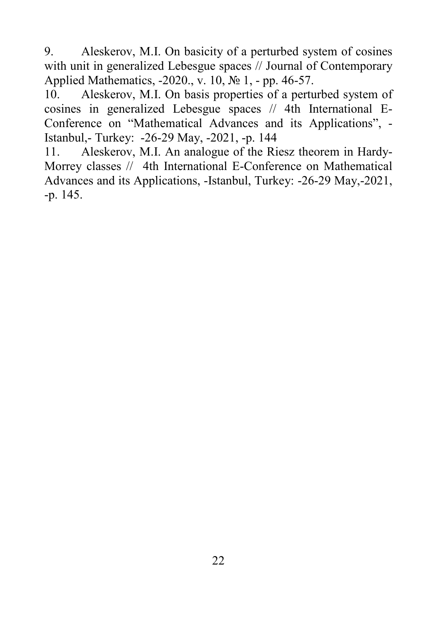9. Aleskerov, M.I. On basicity of a perturbed system of cosines with unit in generalized Lebesgue spaces // Journal of Contemporary Applied Mathematics, -2020., v. 10, № 1, - pp. 46-57.

10. Aleskerov, M.I. On basis properties of a perturbed system of cosines in generalized Lebesgue spaces // 4th International E-Conference on "Mathematical Advances and its Applications", - Istanbul,- Turkey: -26-29 May, -2021, -p. 144

11. Aleskerov, M.I. An analogue of the Riesz theorem in Hardy-Morrey classes // 4th International E-Conference on Mathematical Advances and its Applications, -Istanbul, Turkey: -26-29 May,-2021, -p. 145.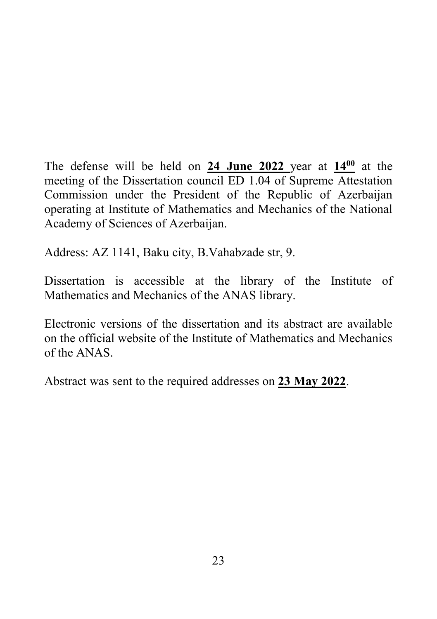The defense will be held on **24 June 2022**\_year at **14<sup>00</sup>** at the meeting of the Dissertation council ED 1.04 of Supreme Attestation Commission under the President of the Republic of Azerbaijan operating at Institute of Mathematics and Mechanics of the National Academy of Sciences of Azerbaijan.

Address: AZ 1141, Baku city, B.Vahabzade str, 9.

Dissertation is accessible at the library of the Institute of Mathematics and Mechanics of the ANAS library.

Electronic versions of the dissertation and its abstract are available on the official website of the Institute of Mathematics and Mechanics of the ANAS.

Abstract was sent to the required addresses on **23 May 2022**.